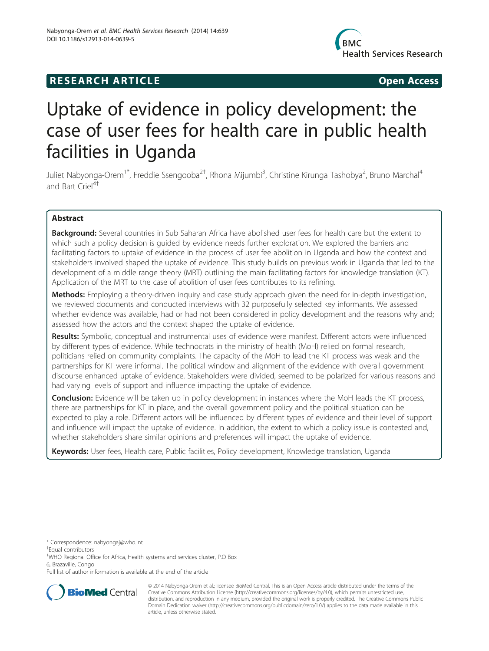# R E S EAR CH A R TIC L E Open Access



# Uptake of evidence in policy development: the case of user fees for health care in public health facilities in Uganda

Juliet Nabyonga-Orem<sup>1\*</sup>, Freddie Ssengooba<sup>2†</sup>, Rhona Mijumbi<sup>3</sup>, Christine Kirunga Tashobya<sup>2</sup>, Bruno Marchal<sup>4</sup> and Bart Criel<sup>4†</sup>

# Abstract

**Background:** Several countries in Sub Saharan Africa have abolished user fees for health care but the extent to which such a policy decision is guided by evidence needs further exploration. We explored the barriers and facilitating factors to uptake of evidence in the process of user fee abolition in Uganda and how the context and stakeholders involved shaped the uptake of evidence. This study builds on previous work in Uganda that led to the development of a middle range theory (MRT) outlining the main facilitating factors for knowledge translation (KT). Application of the MRT to the case of abolition of user fees contributes to its refining.

Methods: Employing a theory-driven inquiry and case study approach given the need for in-depth investigation, we reviewed documents and conducted interviews with 32 purposefully selected key informants. We assessed whether evidence was available, had or had not been considered in policy development and the reasons why and; assessed how the actors and the context shaped the uptake of evidence.

Results: Symbolic, conceptual and instrumental uses of evidence were manifest. Different actors were influenced by different types of evidence. While technocrats in the ministry of health (MoH) relied on formal research, politicians relied on community complaints. The capacity of the MoH to lead the KT process was weak and the partnerships for KT were informal. The political window and alignment of the evidence with overall government discourse enhanced uptake of evidence. Stakeholders were divided, seemed to be polarized for various reasons and had varying levels of support and influence impacting the uptake of evidence.

Conclusion: Evidence will be taken up in policy development in instances where the MoH leads the KT process, there are partnerships for KT in place, and the overall government policy and the political situation can be expected to play a role. Different actors will be influenced by different types of evidence and their level of support and influence will impact the uptake of evidence. In addition, the extent to which a policy issue is contested and, whether stakeholders share similar opinions and preferences will impact the uptake of evidence.

Keywords: User fees, Health care, Public facilities, Policy development, Knowledge translation, Uganda

\* Correspondence: [nabyongaj@who.int](mailto:nabyongaj@who.int) †

Full list of author information is available at the end of the article



© 2014 Nabyonga-Orem et al.; licensee BioMed Central. This is an Open Access article distributed under the terms of the Creative Commons Attribution License (<http://creativecommons.org/licenses/by/4.0>), which permits unrestricted use, distribution, and reproduction in any medium, provided the original work is properly credited. The Creative Commons Public Domain Dedication waiver [\(http://creativecommons.org/publicdomain/zero/1.0/\)](http://creativecommons.org/publicdomain/zero/1.0/) applies to the data made available in this article, unless otherwise stated.

Equal contributors

<sup>&</sup>lt;sup>1</sup>WHO Regional Office for Africa, Health systems and services cluster, P.O Box 6, Brazaville, Congo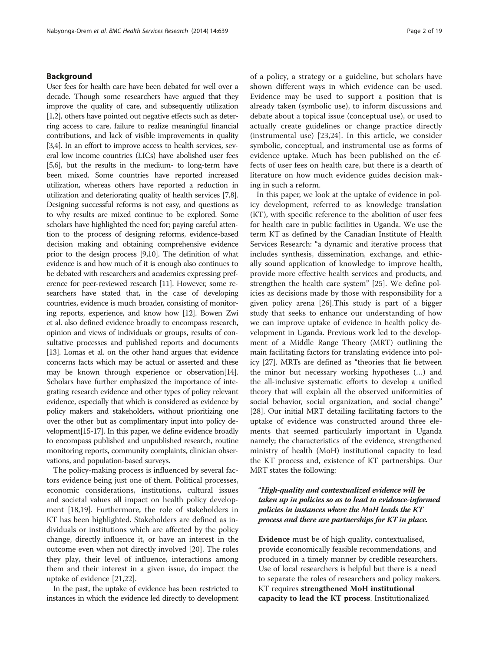# Background

User fees for health care have been debated for well over a decade. Though some researchers have argued that they improve the quality of care, and subsequently utilization [[1,2](#page-17-0)], others have pointed out negative effects such as deterring access to care, failure to realize meaningful financial contributions, and lack of visible improvements in quality [[3,4](#page-17-0)]. In an effort to improve access to health services, several low income countries (LICs) have abolished user fees [[5,6](#page-17-0)], but the results in the medium- to long-term have been mixed. Some countries have reported increased utilization, whereas others have reported a reduction in utilization and deteriorating quality of health services [\[7,8](#page-17-0)]. Designing successful reforms is not easy, and questions as to why results are mixed continue to be explored. Some scholars have highlighted the need for; paying careful attention to the process of designing reforms, evidence-based decision making and obtaining comprehensive evidence prior to the design process [\[9,10\]](#page-17-0). The definition of what evidence is and how much of it is enough also continues to be debated with researchers and academics expressing preference for peer-reviewed research [\[11\]](#page-17-0). However, some researchers have stated that, in the case of developing countries, evidence is much broader, consisting of monitoring reports, experience, and know how [\[12\]](#page-17-0). Bowen Zwi et al. also defined evidence broadly to encompass research, opinion and views of individuals or groups, results of consultative processes and published reports and documents [[13](#page-17-0)]. Lomas et al. on the other hand argues that evidence concerns facts which may be actual or asserted and these may be known through experience or observation[\[14](#page-17-0)]. Scholars have further emphasized the importance of integrating research evidence and other types of policy relevant evidence, especially that which is considered as evidence by policy makers and stakeholders, without prioritizing one over the other but as complimentary input into policy development[\[15](#page-17-0)-[17](#page-17-0)]. In this paper, we define evidence broadly to encompass published and unpublished research, routine monitoring reports, community complaints, clinician observations, and population-based surveys.

The policy-making process is influenced by several factors evidence being just one of them. Political processes, economic considerations, institutions, cultural issues and societal values all impact on health policy development [[18,19](#page-17-0)]. Furthermore, the role of stakeholders in KT has been highlighted. Stakeholders are defined as individuals or institutions which are affected by the policy change, directly influence it, or have an interest in the outcome even when not directly involved [\[20](#page-17-0)]. The roles they play, their level of influence, interactions among them and their interest in a given issue, do impact the uptake of evidence [\[21,22](#page-17-0)].

In the past, the uptake of evidence has been restricted to instances in which the evidence led directly to development of a policy, a strategy or a guideline, but scholars have shown different ways in which evidence can be used. Evidence may be used to support a position that is already taken (symbolic use), to inform discussions and debate about a topical issue (conceptual use), or used to actually create guidelines or change practice directly (instrumental use) [\[23,24](#page-17-0)]. In this article, we consider symbolic, conceptual, and instrumental use as forms of evidence uptake. Much has been published on the effects of user fees on health care, but there is a dearth of literature on how much evidence guides decision making in such a reform.

In this paper, we look at the uptake of evidence in policy development, referred to as knowledge translation (KT), with specific reference to the abolition of user fees for health care in public facilities in Uganda. We use the term KT as defined by the Canadian Institute of Health Services Research: "a dynamic and iterative process that includes synthesis, dissemination, exchange, and ethically sound application of knowledge to improve health, provide more effective health services and products, and strengthen the health care system" [\[25](#page-17-0)]. We define policies as decisions made by those with responsibility for a given policy arena [[26](#page-17-0)].This study is part of a bigger study that seeks to enhance our understanding of how we can improve uptake of evidence in health policy development in Uganda. Previous work led to the development of a Middle Range Theory (MRT) outlining the main facilitating factors for translating evidence into policy [[27\]](#page-17-0). MRTs are defined as "theories that lie between the minor but necessary working hypotheses (…) and the all-inclusive systematic efforts to develop a unified theory that will explain all the observed uniformities of social behavior, social organization, and social change" [[28\]](#page-17-0). Our initial MRT detailing facilitating factors to the uptake of evidence was constructed around three elements that seemed particularly important in Uganda namely; the characteristics of the evidence, strengthened ministry of health (MoH) institutional capacity to lead the KT process and, existence of KT partnerships. Our MRT states the following:

# "High-quality and contextualized evidence will be taken up in policies so as to lead to evidence-informed policies in instances where the MoH leads the KT process and there are partnerships for KT in place.

Evidence must be of high quality, contextualised, provide economically feasible recommendations, and produced in a timely manner by credible researchers. Use of local researchers is helpful but there is a need to separate the roles of researchers and policy makers. KT requires strengthened MoH institutional capacity to lead the KT process. Institutionalized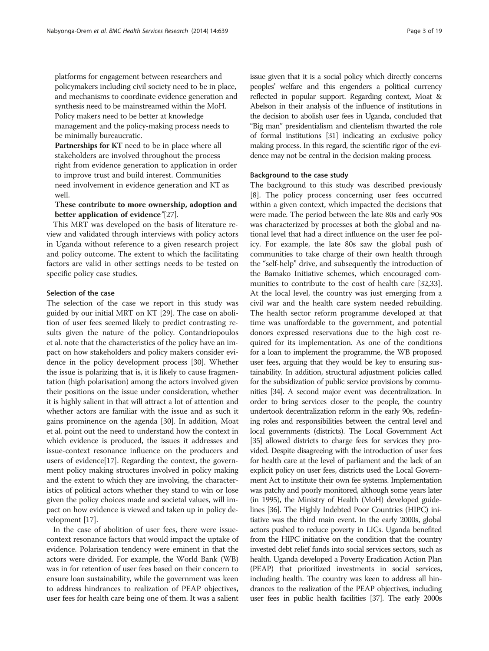platforms for engagement between researchers and policymakers including civil society need to be in place, and mechanisms to coordinate evidence generation and synthesis need to be mainstreamed within the MoH. Policy makers need to be better at knowledge management and the policy-making process needs to be minimally bureaucratic.

Partnerships for KT need to be in place where all stakeholders are involved throughout the process right from evidence generation to application in order to improve trust and build interest. Communities need involvement in evidence generation and KT as well.

# These contribute to more ownership, adoption and better application of evidence"[[27](#page-17-0)].

This MRT was developed on the basis of literature review and validated through interviews with policy actors in Uganda without reference to a given research project and policy outcome. The extent to which the facilitating factors are valid in other settings needs to be tested on specific policy case studies.

#### Selection of the case

The selection of the case we report in this study was guided by our initial MRT on KT [[29](#page-18-0)]. The case on abolition of user fees seemed likely to predict contrasting results given the nature of the policy. Contandriopoulos et al. note that the characteristics of the policy have an impact on how stakeholders and policy makers consider evidence in the policy development process [[30](#page-18-0)]. Whether the issue is polarizing that is, it is likely to cause fragmentation (high polarisation) among the actors involved given their positions on the issue under consideration, whether it is highly salient in that will attract a lot of attention and whether actors are familiar with the issue and as such it gains prominence on the agenda [[30\]](#page-18-0). In addition, Moat et al. point out the need to understand how the context in which evidence is produced, the issues it addresses and issue-context resonance influence on the producers and users of evidence[[17](#page-17-0)]. Regarding the context, the government policy making structures involved in policy making and the extent to which they are involving, the characteristics of political actors whether they stand to win or lose given the policy choices made and societal values, will impact on how evidence is viewed and taken up in policy development [[17](#page-17-0)].

In the case of abolition of user fees, there were issuecontext resonance factors that would impact the uptake of evidence. Polarisation tendency were eminent in that the actors were divided. For example, the World Bank (WB) was in for retention of user fees based on their concern to ensure loan sustainability, while the government was keen to address hindrances to realization of PEAP objectives, user fees for health care being one of them. It was a salient issue given that it is a social policy which directly concerns peoples' welfare and this engenders a political currency reflected in popular support. Regarding context, Moat & Abelson in their analysis of the influence of institutions in the decision to abolish user fees in Uganda, concluded that "Big man" presidentialism and clientelism thwarted the role of formal institutions [\[31](#page-18-0)] indicating an exclusive policy making process. In this regard, the scientific rigor of the evidence may not be central in the decision making process.

### Background to the case study

The background to this study was described previously [[8\]](#page-17-0). The policy process concerning user fees occurred within a given context, which impacted the decisions that were made. The period between the late 80s and early 90s was characterized by processes at both the global and national level that had a direct influence on the user fee policy. For example, the late 80s saw the global push of communities to take charge of their own health through the "self-help" drive, and subsequently the introduction of the Bamako Initiative schemes, which encouraged communities to contribute to the cost of health care [\[32,33](#page-18-0)]. At the local level, the country was just emerging from a civil war and the health care system needed rebuilding. The health sector reform programme developed at that time was unaffordable to the government, and potential donors expressed reservations due to the high cost required for its implementation. As one of the conditions for a loan to implement the programme, the WB proposed user fees, arguing that they would be key to ensuring sustainability. In addition, structural adjustment policies called for the subsidization of public service provisions by communities [\[34\]](#page-18-0). A second major event was decentralization. In order to bring services closer to the people, the country undertook decentralization reform in the early 90s, redefining roles and responsibilities between the central level and local governments (districts). The Local Government Act [[35\]](#page-18-0) allowed districts to charge fees for services they provided. Despite disagreeing with the introduction of user fees for health care at the level of parliament and the lack of an explicit policy on user fees, districts used the Local Government Act to institute their own fee systems. Implementation was patchy and poorly monitored, although some years later (in 1995), the Ministry of Health (MoH) developed guidelines [\[36\]](#page-18-0). The Highly Indebted Poor Countries (HIPC) initiative was the third main event. In the early 2000s, global actors pushed to reduce poverty in LICs. Uganda benefited from the HIPC initiative on the condition that the country invested debt relief funds into social services sectors, such as health. Uganda developed a Poverty Eradication Action Plan (PEAP) that prioritized investments in social services, including health. The country was keen to address all hindrances to the realization of the PEAP objectives, including user fees in public health facilities [[37\]](#page-18-0). The early 2000s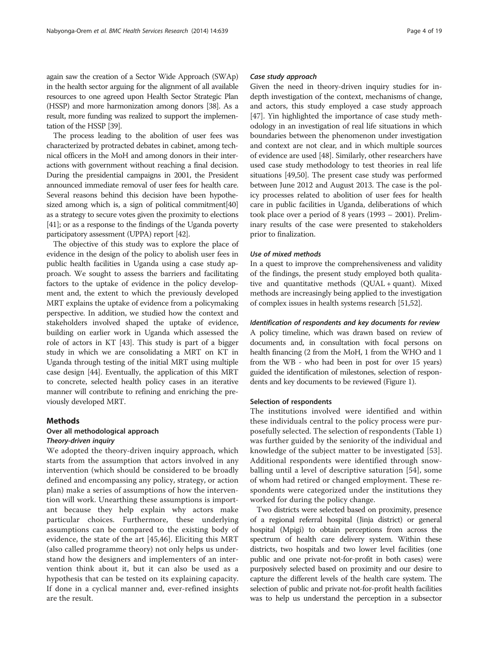again saw the creation of a Sector Wide Approach (SWAp) in the health sector arguing for the alignment of all available resources to one agreed upon Health Sector Strategic Plan (HSSP) and more harmonization among donors [\[38\]](#page-18-0). As a result, more funding was realized to support the implementation of the HSSP [\[39\]](#page-18-0).

The process leading to the abolition of user fees was characterized by protracted debates in cabinet, among technical officers in the MoH and among donors in their interactions with government without reaching a final decision. During the presidential campaigns in 2001, the President announced immediate removal of user fees for health care. Several reasons behind this decision have been hypothesized among which is, a sign of political commitment[\[40](#page-18-0)] as a strategy to secure votes given the proximity to elections [[41](#page-18-0)]; or as a response to the findings of the Uganda poverty participatory assessment (UPPA) report [\[42](#page-18-0)].

The objective of this study was to explore the place of evidence in the design of the policy to abolish user fees in public health facilities in Uganda using a case study approach. We sought to assess the barriers and facilitating factors to the uptake of evidence in the policy development and, the extent to which the previously developed MRT explains the uptake of evidence from a policymaking perspective. In addition, we studied how the context and stakeholders involved shaped the uptake of evidence, building on earlier work in Uganda which assessed the role of actors in KT [\[43](#page-18-0)]. This study is part of a bigger study in which we are consolidating a MRT on KT in Uganda through testing of the initial MRT using multiple case design [[44](#page-18-0)]. Eventually, the application of this MRT to concrete, selected health policy cases in an iterative manner will contribute to refining and enriching the previously developed MRT.

# Methods

# Over all methodological approach Theory-driven inquiry

We adopted the theory-driven inquiry approach, which starts from the assumption that actors involved in any intervention (which should be considered to be broadly defined and encompassing any policy, strategy, or action plan) make a series of assumptions of how the intervention will work. Unearthing these assumptions is important because they help explain why actors make particular choices. Furthermore, these underlying assumptions can be compared to the existing body of evidence, the state of the art [\[45](#page-18-0),[46\]](#page-18-0). Eliciting this MRT (also called programme theory) not only helps us understand how the designers and implementers of an intervention think about it, but it can also be used as a hypothesis that can be tested on its explaining capacity. If done in a cyclical manner and, ever-refined insights are the result.

#### Case study approach

Given the need in theory-driven inquiry studies for indepth investigation of the context, mechanisms of change, and actors, this study employed a case study approach [[47](#page-18-0)]. Yin highlighted the importance of case study methodology in an investigation of real life situations in which boundaries between the phenomenon under investigation and context are not clear, and in which multiple sources of evidence are used [[48](#page-18-0)]. Similarly, other researchers have used case study methodology to test theories in real life situations [[49](#page-18-0),[50](#page-18-0)]. The present case study was performed between June 2012 and August 2013. The case is the policy processes related to abolition of user fees for health care in public facilities in Uganda, deliberations of which took place over a period of 8 years (1993 – 2001). Preliminary results of the case were presented to stakeholders prior to finalization.

# Use of mixed methods

In a quest to improve the comprehensiveness and validity of the findings, the present study employed both qualitative and quantitative methods (QUAL + quant). Mixed methods are increasingly being applied to the investigation of complex issues in health systems research [[51](#page-18-0),[52](#page-18-0)].

# Identification of respondents and key documents for review A policy timeline, which was drawn based on review of

documents and, in consultation with focal persons on health financing (2 from the MoH, 1 from the WHO and 1 from the WB - who had been in post for over 15 years) guided the identification of milestones, selection of respondents and key documents to be reviewed (Figure [1\)](#page-4-0).

#### Selection of respondents

The institutions involved were identified and within these individuals central to the policy process were purposefully selected. The selection of respondents (Table [1](#page-4-0)) was further guided by the seniority of the individual and knowledge of the subject matter to be investigated [\[53](#page-18-0)]. Additional respondents were identified through snowballing until a level of descriptive saturation [[54\]](#page-18-0), some of whom had retired or changed employment. These respondents were categorized under the institutions they worked for during the policy change.

Two districts were selected based on proximity, presence of a regional referral hospital (Jinja district) or general hospital (Mpigi) to obtain perceptions from across the spectrum of health care delivery system. Within these districts, two hospitals and two lower level facilities (one public and one private not-for-profit in both cases) were purposively selected based on proximity and our desire to capture the different levels of the health care system. The selection of public and private not-for-profit health facilities was to help us understand the perception in a subsector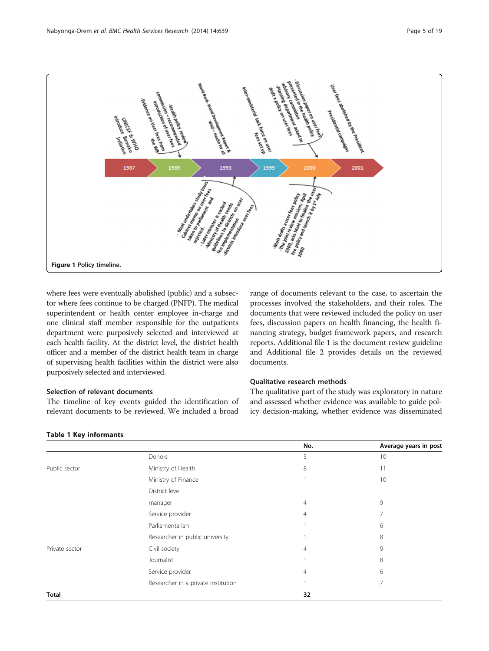<span id="page-4-0"></span>

where fees were eventually abolished (public) and a subsector where fees continue to be charged (PNFP). The medical superintendent or health center employee in-charge and one clinical staff member responsible for the outpatients department were purposively selected and interviewed at each health facility. At the district level, the district health officer and a member of the district health team in charge of supervising health facilities within the district were also purposively selected and interviewed.

# Selection of relevant documents

The timeline of key events guided the identification of relevant documents to be reviewed. We included a broad

Table 1 Key informants

range of documents relevant to the case, to ascertain the processes involved the stakeholders, and their roles. The documents that were reviewed included the policy on user fees, discussion papers on health financing, the health financing strategy, budget framework papers, and research reports. Additional file [1](#page-17-0) is the document review guideline and Additional file [2](#page-17-0) provides details on the reviewed documents.

# Qualitative research methods

The qualitative part of the study was exploratory in nature and assessed whether evidence was available to guide policy decision-making, whether evidence was disseminated

|                |                                     | No. | Average years in post |
|----------------|-------------------------------------|-----|-----------------------|
|                | Donors                              | 3   | 10                    |
| Public sector  | Ministry of Health                  | 8   | 11                    |
|                | Ministry of Finance                 |     | 10                    |
|                | District level                      |     |                       |
|                | manager                             | 4   | 9                     |
|                | Service provider                    | 4   | 7                     |
|                | Parliamentarian                     |     | 6                     |
|                | Researcher in public university     |     | 8                     |
| Private sector | Civil society                       | 4   | 9                     |
|                | Journalist                          |     | 8                     |
|                | Service provider                    | 4   | 6                     |
|                | Researcher in a private institution |     | $\overline{7}$        |
| <b>Total</b>   |                                     | 32  |                       |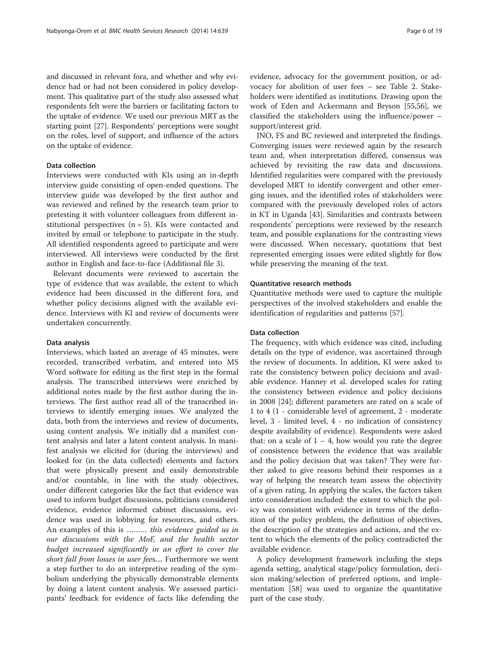and discussed in relevant fora, and whether and why evidence had or had not been considered in policy development. This qualitative part of the study also assessed what respondents felt were the barriers or facilitating factors to the uptake of evidence. We used our previous MRT as the starting point [[27](#page-17-0)]. Respondents' perceptions were sought on the roles, level of support, and influence of the actors on the uptake of evidence.

# Data collection

Interviews were conducted with KIs using an in-depth interview guide consisting of open-ended questions. The interview guide was developed by the first author and was reviewed and refined by the research team prior to pretesting it with volunteer colleagues from different institutional perspectives  $(n = 5)$ . KIs were contacted and invited by email or telephone to participate in the study. All identified respondents agreed to participate and were interviewed. All interviews were conducted by the first author in English and face-to-face (Additional file [3](#page-17-0)).

Relevant documents were reviewed to ascertain the type of evidence that was available, the extent to which evidence had been discussed in the different fora, and whether policy decisions aligned with the available evidence. Interviews with KI and review of documents were undertaken concurrently.

#### Data analysis

Interviews, which lasted an average of 45 minutes, were recorded, transcribed verbatim, and entered into MS Word software for editing as the first step in the formal analysis. The transcribed interviews were enriched by additional notes made by the first author during the interviews. The first author read all of the transcribed interviews to identify emerging issues. We analyzed the data, both from the interviews and review of documents, using content analysis. We initially did a manifest content analysis and later a latent content analysis. In manifest analysis we elicited for (during the interviews) and looked for (in the data collected) elements and factors that were physically present and easily demonstrable and/or countable, in line with the study objectives, under different categories like the fact that evidence was used to inform budget discussions, politicians considered evidence, evidence informed cabinet discussions, evidence was used in lobbying for resources, and others. An examples of this is ……… this evidence guided us in our discussions with the MoF, and the health sector budget increased significantly in an effort to cover the short fall from losses in user fees.... Furthermore we went a step further to do an interpretive reading of the symbolism underlying the physically demonstrable elements by doing a latent content analysis. We assessed participants' feedback for evidence of facts like defending the

evidence, advocacy for the government position, or advocacy for abolition of user fees – see Table [2](#page-6-0). Stakeholders were identified as institutions. Drawing upon the work of Eden and Ackermann and Bryson [[55](#page-18-0),[56](#page-18-0)], we classified the stakeholders using the influence/power – support/interest grid.

JNO, FS and BC reviewed and interpreted the findings. Converging issues were reviewed again by the research team and, when interpretation differed, consensus was achieved by revisiting the raw data and discussions. Identified regularities were compared with the previously developed MRT to identify convergent and other emerging issues, and the identified roles of stakeholders were compared with the previously developed roles of actors in KT in Uganda [\[43\]](#page-18-0). Similarities and contrasts between respondents' perceptions were reviewed by the research team, and possible explanations for the contrasting views were discussed. When necessary, quotations that best represented emerging issues were edited slightly for flow while preserving the meaning of the text.

## Quantitative research methods

Quantitative methods were used to capture the multiple perspectives of the involved stakeholders and enable the identification of regularities and patterns [[57\]](#page-18-0).

# Data collection

The frequency, with which evidence was cited, including details on the type of evidence, was ascertained through the review of documents. In addition, KI were asked to rate the consistency between policy decisions and available evidence. Hanney et al. developed scales for rating the consistency between evidence and policy decisions in 2008 [[24\]](#page-17-0); different parameters are rated on a scale of 1 to 4 (1 - considerable level of agreement, 2 - moderate level, 3 - limited level, 4 - no indication of consistency despite availability of evidence). Respondents were asked that: on a scale of  $1 - 4$ , how would you rate the degree of consistence between the evidence that was available and the policy decision that was taken? They were further asked to give reasons behind their responses as a way of helping the research team assess the objectivity of a given rating. In applying the scales, the factors taken into consideration included: the extent to which the policy was consistent with evidence in terms of the definition of the policy problem, the definition of objectives, the description of the strategies and actions, and the extent to which the elements of the policy contradicted the available evidence.

A policy development framework including the steps agenda setting, analytical stage/policy formulation, decision making/selection of preferred options, and implementation [\[58](#page-18-0)] was used to organize the quantitative part of the case study.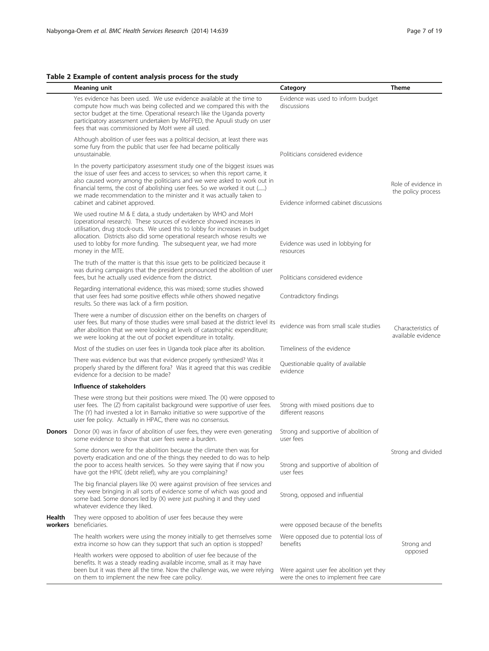# <span id="page-6-0"></span>Table 2 Example of content analysis process for the study

|               | Meaning unit                                                                                                                                                                                                                                                                                                                                                                                                                | Category                                                                         | <b>Theme</b>                              |  |
|---------------|-----------------------------------------------------------------------------------------------------------------------------------------------------------------------------------------------------------------------------------------------------------------------------------------------------------------------------------------------------------------------------------------------------------------------------|----------------------------------------------------------------------------------|-------------------------------------------|--|
|               | Yes evidence has been used. We use evidence available at the time to<br>compute how much was being collected and we compared this with the<br>sector budget at the time. Operational research like the Uganda poverty<br>participatory assessment undertaken by MoFPED, the Apuuli study on user<br>fees that was commissioned by MoH were all used.                                                                        | Evidence was used to inform budget<br>discussions                                |                                           |  |
|               | Although abolition of user fees was a political decision, at least there was<br>some fury from the public that user fee had became politically<br>unsustainable.                                                                                                                                                                                                                                                            | Politicians considered evidence                                                  |                                           |  |
|               | In the poverty participatory assessment study one of the biggest issues was<br>the issue of user fees and access to services; so when this report came, it<br>also caused worry among the politicians and we were asked to work out in<br>financial terms, the cost of abolishing user fees. So we worked it out ()<br>we made recommendation to the minister and it was actually taken to<br>cabinet and cabinet approved. | Evidence informed cabinet discussions                                            | Role of evidence in<br>the policy process |  |
|               | We used routine M & E data, a study undertaken by WHO and MoH<br>(operational research). These sources of evidence showed increases in<br>utilisation, drug stock-outs. We used this to lobby for increases in budget<br>allocation. Districts also did some operational research whose results we<br>used to lobby for more funding. The subsequent year, we had more<br>money in the MTE.                                 | Evidence was used in lobbying for<br>resources                                   |                                           |  |
|               | The truth of the matter is that this issue gets to be politicized because it<br>was during campaigns that the president pronounced the abolition of user<br>fees, but he actually used evidence from the district.                                                                                                                                                                                                          | Politicians considered evidence                                                  |                                           |  |
|               | Regarding international evidence, this was mixed; some studies showed<br>that user fees had some positive effects while others showed negative<br>results. So there was lack of a firm position.                                                                                                                                                                                                                            | Contradictory findings                                                           |                                           |  |
|               | There were a number of discussion either on the benefits on chargers of<br>user fees. But many of those studies were small based at the district level its<br>after abolition that we were looking at levels of catastrophic expenditure;<br>we were looking at the out of pocket expenditure in totality.                                                                                                                  | evidence was from small scale studies                                            | Characteristics of<br>available evidence  |  |
|               | Most of the studies on user fees in Uganda took place after its abolition.                                                                                                                                                                                                                                                                                                                                                  | Timeliness of the evidence                                                       |                                           |  |
|               | There was evidence but was that evidence properly synthesized? Was it<br>properly shared by the different fora? Was it agreed that this was credible<br>evidence for a decision to be made?                                                                                                                                                                                                                                 | Questionable quality of available<br>evidence                                    |                                           |  |
|               | Influence of stakeholders                                                                                                                                                                                                                                                                                                                                                                                                   |                                                                                  |                                           |  |
|               | These were strong but their positions were mixed. The (X) were opposed to<br>user fees. The (Z) from capitalist background were supportive of user fees.<br>The (Y) had invested a lot in Bamako initiative so were supportive of the<br>user fee policy. Actually in HPAC, there was no consensus.                                                                                                                         | Strong with mixed positions due to<br>different reasons                          |                                           |  |
| <b>Donors</b> | Donor (X) was in favor of abolition of user fees, they were even generating<br>some evidence to show that user fees were a burden.                                                                                                                                                                                                                                                                                          | Strong and supportive of abolition of<br>user fees                               |                                           |  |
|               | Some donors were for the abolition because the climate then was for<br>poverty eradication and one of the things they needed to do was to help<br>the poor to access health services. So they were saying that if now you<br>have got the HPIC (debt relief), why are you complaining?                                                                                                                                      | Strong and supportive of abolition of<br>user fees                               | Strong and divided                        |  |
|               | The big financial players like (X) were against provision of free services and<br>they were bringing in all sorts of evidence some of which was good and<br>some bad. Some donors led by (X) were just pushing it and they used<br>whatever evidence they liked.                                                                                                                                                            | Strong, opposed and influential                                                  |                                           |  |
| Health        | They were opposed to abolition of user fees because they were<br>workers beneficiaries.                                                                                                                                                                                                                                                                                                                                     | were opposed because of the benefits                                             |                                           |  |
|               | The health workers were using the money initially to get themselves some<br>extra income so how can they support that such an option is stopped?                                                                                                                                                                                                                                                                            | Were opposed due to potential loss of<br>benefits                                | Strong and                                |  |
|               | Health workers were opposed to abolition of user fee because of the<br>benefits. It was a steady reading available income, small as it may have<br>been but it was there all the time. Now the challenge was, we were relying<br>on them to implement the new free care policy.                                                                                                                                             | Were against user fee abolition yet they<br>were the ones to implement free care | opposed                                   |  |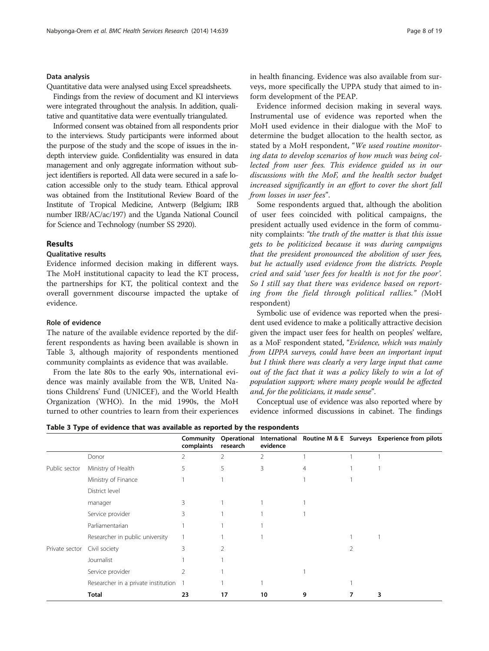#### Data analysis

Quantitative data were analysed using Excel spreadsheets.

Findings from the review of document and KI interviews were integrated throughout the analysis. In addition, qualitative and quantitative data were eventually triangulated.

Informed consent was obtained from all respondents prior to the interviews. Study participants were informed about the purpose of the study and the scope of issues in the indepth interview guide. Confidentiality was ensured in data management and only aggregate information without subject identifiers is reported. All data were secured in a safe location accessible only to the study team. Ethical approval was obtained from the Institutional Review Board of the Institute of Tropical Medicine, Antwerp (Belgium; IRB number IRB/AC/ac/197) and the Uganda National Council for Science and Technology (number SS 2920).

# Results

# Qualitative results

Evidence informed decision making in different ways. The MoH institutional capacity to lead the KT process, the partnerships for KT, the political context and the overall government discourse impacted the uptake of evidence.

# Role of evidence

The nature of the available evidence reported by the different respondents as having been available is shown in Table 3, although majority of respondents mentioned community complaints as evidence that was available.

From the late 80s to the early 90s, international evidence was mainly available from the WB, United Nations Childrens' Fund (UNICEF), and the World Health Organization (WHO). In the mid 1990s, the MoH turned to other countries to learn from their experiences in health financing. Evidence was also available from surveys, more specifically the UPPA study that aimed to inform development of the PEAP.

Evidence informed decision making in several ways. Instrumental use of evidence was reported when the MoH used evidence in their dialogue with the MoF to determine the budget allocation to the health sector, as stated by a MoH respondent, "We used routine monitoring data to develop scenarios of how much was being collected from user fees. This evidence guided us in our discussions with the MoF, and the health sector budget increased significantly in an effort to cover the short fall from losses in user fees".

Some respondents argued that, although the abolition of user fees coincided with political campaigns, the president actually used evidence in the form of community complaints: "the truth of the matter is that this issue gets to be politicized because it was during campaigns that the president pronounced the abolition of user fees, but he actually used evidence from the districts. People cried and said 'user fees for health is not for the poor'. So I still say that there was evidence based on reporting from the field through political rallies." (MoH respondent)

Symbolic use of evidence was reported when the president used evidence to make a politically attractive decision given the impact user fees for health on peoples' welfare, as a MoF respondent stated, "Evidence, which was mainly from UPPA surveys, could have been an important input but I think there was clearly a very large input that came out of the fact that it was a policy likely to win a lot of population support; where many people would be affected and, for the politicians, it made sense".

Conceptual use of evidence was also reported where by evidence informed discussions in cabinet. The findings

Table 3 Type of evidence that was available as reported by the respondents

|                |                                     | Community<br>complaints | Operational<br>research | evidence |   |   | International Routine M & E Surveys Experience from pilots |
|----------------|-------------------------------------|-------------------------|-------------------------|----------|---|---|------------------------------------------------------------|
|                | Donor                               | $\overline{2}$          | $\overline{2}$          | 2        |   |   |                                                            |
| Public sector  | Ministry of Health                  | 5                       | 5                       | 3        | 4 |   |                                                            |
|                | Ministry of Finance                 |                         |                         |          |   |   |                                                            |
|                | District level                      |                         |                         |          |   |   |                                                            |
|                | manager                             | 3                       |                         |          |   |   |                                                            |
|                | Service provider                    | 3                       |                         |          |   |   |                                                            |
|                | Parliamentarian                     |                         |                         |          |   |   |                                                            |
|                | Researcher in public university     |                         |                         |          |   |   |                                                            |
| Private sector | Civil society                       | 3                       | 2                       |          |   | 2 |                                                            |
|                | Journalist                          |                         |                         |          |   |   |                                                            |
|                | Service provider                    | 2                       |                         |          |   |   |                                                            |
|                | Researcher in a private institution |                         |                         |          |   |   |                                                            |
|                | <b>Total</b>                        | 23                      | 17                      | 10       | 9 | 7 | 3                                                          |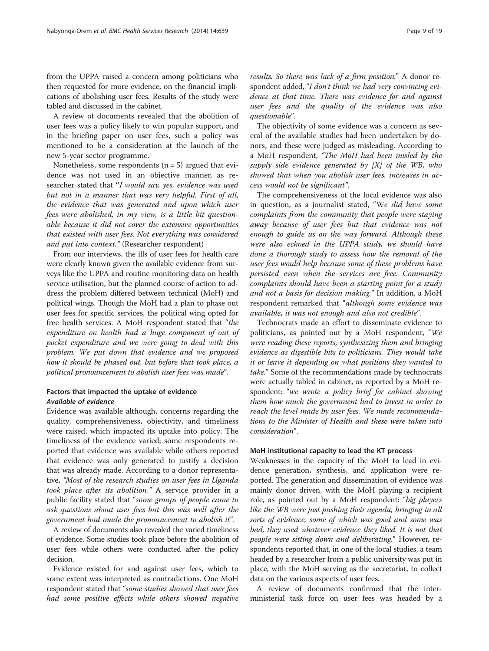from the UPPA raised a concern among politicians who then requested for more evidence, on the financial implications of abolishing user fees. Results of the study were tabled and discussed in the cabinet.

A review of documents revealed that the abolition of user fees was a policy likely to win popular support, and in the briefing paper on user fees, such a policy was mentioned to be a consideration at the launch of the new 5-year sector programme.

Nonetheless, some respondents  $(n = 5)$  argued that evidence was not used in an objective manner, as researcher stated that "I would say, yes, evidence was used but not in a manner that was very helpful. First of all, the evidence that was generated and upon which user fees were abolished, in my view, is a little bit questionable because it did not cover the extensive opportunities that existed with user fees. Not everything was considered and put into context." (Researcher respondent)

From our interviews, the ills of user fees for health care were clearly known given the available evidence from surveys like the UPPA and routine monitoring data on health service utilisation, but the planned course of action to address the problem differed between technical (MoH) and political wings. Though the MoH had a plan to phase out user fees for specific services, the political wing opted for free health services. A MoH respondent stated that "the expenditure on health had a huge component of out of pocket expenditure and we were going to deal with this problem. We put down that evidence and we proposed how it should be phased out, but before that took place, a political pronouncement to abolish user fees was made".

# Factors that impacted the uptake of evidence Available of evidence

Evidence was available although, concerns regarding the quality, comprehensiveness, objectivity, and timeliness were raised, which impacted its uptake into policy. The timeliness of the evidence varied; some respondents reported that evidence was available while others reported that evidence was only generated to justify a decision that was already made. According to a donor representative, "Most of the research studies on user fees in Uganda took place after its abolition." A service provider in a public facility stated that "some groups of people came to ask questions about user fees but this was well after the government had made the pronouncement to abolish it".

A review of documents also revealed the varied timeliness of evidence. Some studies took place before the abolition of user fees while others were conducted after the policy decision.

Evidence existed for and against user fees, which to some extent was interpreted as contradictions. One MoH respondent stated that "some studies showed that user fees had some positive effects while others showed negative

results. So there was lack of a firm position." A donor respondent added, "I don't think we had very convincing evidence at that time. There was evidence for and against user fees and the quality of the evidence was also questionable".

The objectivity of some evidence was a concern as several of the available studies had been undertaken by donors, and these were judged as misleading. According to a MoH respondent, "The MoH had been misled by the supply side evidence generated by  $[X]$  of the WB, who showed that when you abolish user fees, increases in access would not be significant".

The comprehensiveness of the local evidence was also in question, as a journalist stated, "We did have some complaints from the community that people were staying away because of user fees but that evidence was not enough to guide us on the way forward. Although these were also echoed in the UPPA study, we should have done a thorough study to assess how the removal of the user fees would help because some of these problems have persisted even when the services are free. Community complaints should have been a starting point for a study and not a basis for decision making." In addition, a MoH respondent remarked that "although some evidence was available, it was not enough and also not credible".

Technocrats made an effort to disseminate evidence to politicians, as pointed out by a MoH respondent, "We were reading these reports, synthesizing them and bringing evidence as digestible bits to politicians. They would take it or leave it depending on what positions they wanted to take." Some of the recommendations made by technocrats were actually tabled in cabinet, as reported by a MoH respondent: "we wrote a policy brief for cabinet showing them how much the government had to invest in order to reach the level made by user fees. We made recommendations to the Minister of Health and these were taken into consideration".

# MoH institutional capacity to lead the KT process

Weaknesses in the capacity of the MoH to lead in evidence generation, synthesis, and application were reported. The generation and dissemination of evidence was mainly donor driven, with the MoH playing a recipient role, as pointed out by a MoH respondent: "big players like the WB were just pushing their agenda, bringing in all sorts of evidence, some of which was good and some was bad, they used whatever evidence they liked. It is not that people were sitting down and deliberating." However, respondents reported that, in one of the local studies, a team headed by a researcher from a public university was put in place, with the MoH serving as the secretariat, to collect data on the various aspects of user fees.

A review of documents confirmed that the interministerial task force on user fees was headed by a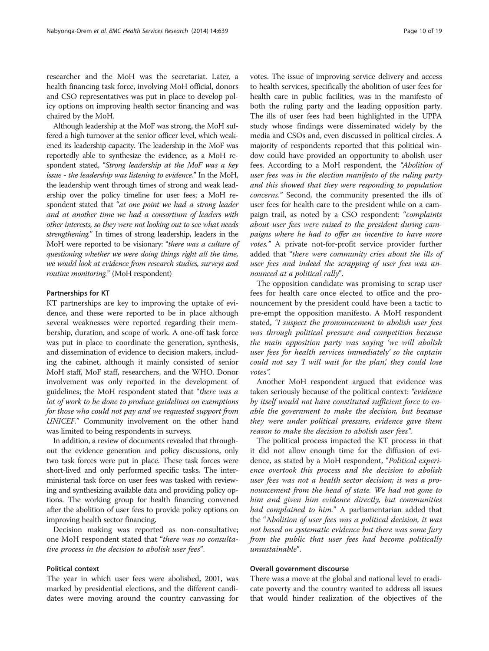researcher and the MoH was the secretariat. Later, a health financing task force, involving MoH official, donors and CSO representatives was put in place to develop policy options on improving health sector financing and was chaired by the MoH.

Although leadership at the MoF was strong, the MoH suffered a high turnover at the senior officer level, which weakened its leadership capacity. The leadership in the MoF was reportedly able to synthesize the evidence, as a MoH respondent stated, "Strong leadership at the MoF was a key issue - the leadership was listening to evidence." In the MoH, the leadership went through times of strong and weak leadership over the policy timeline for user fees; a MoH respondent stated that "at one point we had a strong leader and at another time we had a consortium of leaders with other interests, so they were not looking out to see what needs strengthening." In times of strong leadership, leaders in the MoH were reported to be visionary: "there was a culture of questioning whether we were doing things right all the time, we would look at evidence from research studies, surveys and routine monitoring." (MoH respondent)

#### Partnerships for KT

KT partnerships are key to improving the uptake of evidence, and these were reported to be in place although several weaknesses were reported regarding their membership, duration, and scope of work. A one-off task force was put in place to coordinate the generation, synthesis, and dissemination of evidence to decision makers, including the cabinet, although it mainly consisted of senior MoH staff, MoF staff, researchers, and the WHO. Donor involvement was only reported in the development of guidelines; the MoH respondent stated that "there was a lot of work to be done to produce guidelines on exemptions for those who could not pay and we requested support from UNICEF." Community involvement on the other hand was limited to being respondents in surveys.

In addition, a review of documents revealed that throughout the evidence generation and policy discussions, only two task forces were put in place. These task forces were short-lived and only performed specific tasks. The interministerial task force on user fees was tasked with reviewing and synthesizing available data and providing policy options. The working group for health financing convened after the abolition of user fees to provide policy options on improving health sector financing.

Decision making was reported as non-consultative; one MoH respondent stated that "there was no consultative process in the decision to abolish user fees".

# Political context

The year in which user fees were abolished, 2001, was marked by presidential elections, and the different candidates were moving around the country canvassing for votes. The issue of improving service delivery and access to health services, specifically the abolition of user fees for health care in public facilities, was in the manifesto of both the ruling party and the leading opposition party. The ills of user fees had been highlighted in the UPPA study whose findings were disseminated widely by the media and CSOs and, even discussed in political circles. A majority of respondents reported that this political window could have provided an opportunity to abolish user fees. According to a MoH respondent, the "Abolition of user fees was in the election manifesto of the ruling party and this showed that they were responding to population concerns." Second, the community presented the ills of user fees for health care to the president while on a campaign trail, as noted by a CSO respondent: "complaints about user fees were raised to the president during campaigns where he had to offer an incentive to have more votes." A private not-for-profit service provider further added that "there were community cries about the ills of user fees and indeed the scrapping of user fees was announced at a political rally".

The opposition candidate was promising to scrap user fees for health care once elected to office and the pronouncement by the president could have been a tactic to pre-empt the opposition manifesto. A MoH respondent stated, "I suspect the pronouncement to abolish user fees was through political pressure and competition because the main opposition party was saying 'we will abolish user fees for health services immediately' so the captain could not say 'I will wait for the plan', they could lose votes".

Another MoH respondent argued that evidence was taken seriously because of the political context: "evidence by itself would not have constituted sufficient force to enable the government to make the decision, but because they were under political pressure, evidence gave them reason to make the decision to abolish user fees".

The political process impacted the KT process in that it did not allow enough time for the diffusion of evidence, as stated by a MoH respondent, "Political experience overtook this process and the decision to abolish user fees was not a health sector decision; it was a pronouncement from the head of state. We had not gone to him and given him evidence directly, but communities had complained to him." A parliamentarian added that the "Abolition of user fees was a political decision, it was not based on systematic evidence but there was some fury from the public that user fees had become politically unsustainable".

# Overall government discourse

There was a move at the global and national level to eradicate poverty and the country wanted to address all issues that would hinder realization of the objectives of the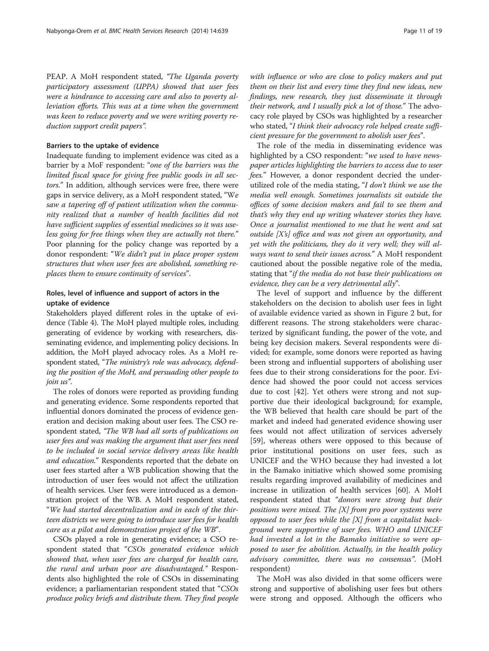PEAP. A MoH respondent stated, "The Uganda poverty participatory assessment (UPPA) showed that user fees were a hindrance to accessing care and also to poverty alleviation efforts. This was at a time when the government was keen to reduce poverty and we were writing poverty reduction support credit papers".

## Barriers to the uptake of evidence

Inadequate funding to implement evidence was cited as a barrier by a MoF respondent: "one of the barriers was the limited fiscal space for giving free public goods in all sectors." In addition, although services were free, there were gaps in service delivery, as a MoH respondent stated, "We saw a tapering off of patient utilization when the community realized that a number of health facilities did not have sufficient supplies of essential medicines so it was useless going for free things when they are actually not there." Poor planning for the policy change was reported by a donor respondent: "We didn't put in place proper system structures that when user fees are abolished, something replaces them to ensure continuity of services".

# Roles, level of influence and support of actors in the uptake of evidence

Stakeholders played different roles in the uptake of evidence (Table [4\)](#page-11-0). The MoH played multiple roles, including generating of evidence by working with researchers, disseminating evidence, and implementing policy decisions. In addition, the MoH played advocacy roles. As a MoH respondent stated, "The ministry's role was advocacy, defending the position of the MoH, and persuading other people to join us".

The roles of donors were reported as providing funding and generating evidence. Some respondents reported that influential donors dominated the process of evidence generation and decision making about user fees. The CSO respondent stated, "The WB had all sorts of publications on user fees and was making the argument that user fees need to be included in social service delivery areas like health and education." Respondents reported that the debate on user fees started after a WB publication showing that the introduction of user fees would not affect the utilization of health services. User fees were introduced as a demonstration project of the WB. A MoH respondent stated, "We had started decentralization and in each of the thirteen districts we were going to introduce user fees for health care as a pilot and demonstration project of the WB".

CSOs played a role in generating evidence; a CSO respondent stated that "CSOs generated evidence which showed that, when user fees are charged for health care, the rural and urban poor are disadvantaged." Respondents also highlighted the role of CSOs in disseminating evidence; a parliamentarian respondent stated that "CSOs produce policy briefs and distribute them. They find people

with influence or who are close to policy makers and put them on their list and every time they find new ideas, new findings, new research, they just disseminate it through their network, and I usually pick a lot of those." The advocacy role played by CSOs was highlighted by a researcher who stated, "I think their advocacy role helped create sufficient pressure for the government to abolish user fees".

The role of the media in disseminating evidence was highlighted by a CSO respondent: "we used to have newspaper articles highlighting the barriers to access due to user fees." However, a donor respondent decried the underutilized role of the media stating, "I don't think we use the media well enough. Sometimes journalists sit outside the offices of some decision makers and fail to see them and that's why they end up writing whatever stories they have. Once a journalist mentioned to me that he went and sat outside [X's] office and was not given an opportunity, and yet with the politicians, they do it very well; they will always want to send their issues across." A MoH respondent cautioned about the possible negative role of the media, stating that "if the media do not base their publications on evidence, they can be a very detrimental ally".

The level of support and influence by the different stakeholders on the decision to abolish user fees in light of available evidence varied as shown in Figure [2](#page-11-0) but, for different reasons. The strong stakeholders were characterized by significant funding, the power of the vote, and being key decision makers. Several respondents were divided; for example, some donors were reported as having been strong and influential supporters of abolishing user fees due to their strong considerations for the poor. Evidence had showed the poor could not access services due to cost [\[42\]](#page-18-0). Yet others were strong and not supportive due their ideological background; for example, the WB believed that health care should be part of the market and indeed had generated evidence showing user fees would not affect utilization of services adversely [[59\]](#page-18-0), whereas others were opposed to this because of prior institutional positions on user fees, such as UNICEF and the WHO because they had invested a lot in the Bamako initiative which showed some promising results regarding improved availability of medicines and increase in utilization of health services [[60\]](#page-18-0). A MoH respondent stated that "donors were strong but their positions were mixed. The  $[X]$  from pro poor systems were opposed to user fees while the  $[X]$  from a capitalist background were supportive of user fees. WHO and UNICEF had invested a lot in the Bamako initiative so were opposed to user fee abolition. Actually, in the health policy advisory committee, there was no consensus". (MoH respondent)

The MoH was also divided in that some officers were strong and supportive of abolishing user fees but others were strong and opposed. Although the officers who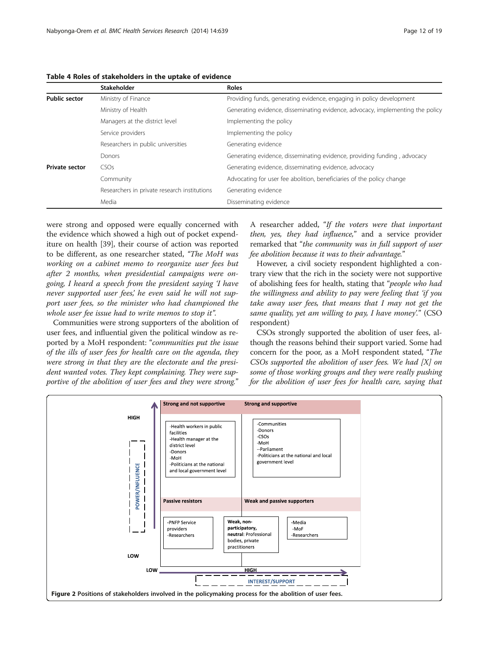|                       | <b>Stakeholder</b>                           | <b>Roles</b>                                                                   |  |  |  |
|-----------------------|----------------------------------------------|--------------------------------------------------------------------------------|--|--|--|
| <b>Public sector</b>  | Ministry of Finance                          | Providing funds, generating evidence, engaging in policy development           |  |  |  |
|                       | Ministry of Health                           | Generating evidence, disseminating evidence, advocacy, implementing the policy |  |  |  |
|                       | Managers at the district level               | Implementing the policy                                                        |  |  |  |
|                       | Service providers                            | Implementing the policy                                                        |  |  |  |
|                       | Researchers in public universities           | Generating evidence                                                            |  |  |  |
|                       | Donors                                       | Generating evidence, disseminating evidence, providing funding, advocacy       |  |  |  |
| <b>Private sector</b> | CSOs                                         | Generating evidence, disseminating evidence, advocacy                          |  |  |  |
|                       | Community                                    | Advocating for user fee abolition, beneficiaries of the policy change          |  |  |  |
|                       | Researchers in private research institutions | Generating evidence                                                            |  |  |  |
|                       | Media                                        | Disseminating evidence                                                         |  |  |  |

<span id="page-11-0"></span>Table 4 Roles of stakeholders in the uptake of evidence

were strong and opposed were equally concerned with the evidence which showed a high out of pocket expenditure on health [\[39](#page-18-0)], their course of action was reported to be different, as one researcher stated, "The MoH was working on a cabinet memo to reorganize user fees but after 2 months, when presidential campaigns were ongoing, I heard a speech from the president saying 'I have never supported user fees,' he even said he will not support user fees, so the minister who had championed the whole user fee issue had to write memos to stop it".

Communities were strong supporters of the abolition of user fees, and influential given the political window as reported by a MoH respondent: "communities put the issue of the ills of user fees for health care on the agenda, they were strong in that they are the electorate and the president wanted votes. They kept complaining. They were supportive of the abolition of user fees and they were strong."

A researcher added, "If the voters were that important then, yes, they had influence," and a service provider remarked that "the community was in full support of user fee abolition because it was to their advantage."

However, a civil society respondent highlighted a contrary view that the rich in the society were not supportive of abolishing fees for health, stating that "people who had the willingness and ability to pay were feeling that 'if you take away user fees, that means that I may not get the same quality, yet am willing to pay, I have money'." (CSO respondent)

CSOs strongly supported the abolition of user fees, although the reasons behind their support varied. Some had concern for the poor, as a MoH respondent stated, "The CSOs supported the abolition of user fees. We had [X] on some of those working groups and they were really pushing for the abolition of user fees for health care, saying that

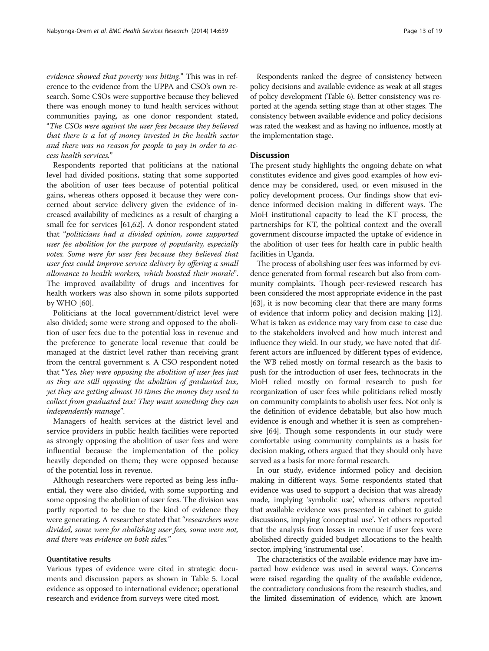evidence showed that poverty was biting." This was in reference to the evidence from the UPPA and CSO's own research. Some CSOs were supportive because they believed there was enough money to fund health services without communities paying, as one donor respondent stated, "The CSOs were against the user fees because they believed that there is a lot of money invested in the health sector and there was no reason for people to pay in order to access health services."

Respondents reported that politicians at the national level had divided positions, stating that some supported the abolition of user fees because of potential political gains, whereas others opposed it because they were concerned about service delivery given the evidence of increased availability of medicines as a result of charging a small fee for services [[61,62\]](#page-18-0). A donor respondent stated that "politicians had a divided opinion, some supported user fee abolition for the purpose of popularity, especially votes. Some were for user fees because they believed that user fees could improve service delivery by offering a small allowance to health workers, which boosted their morale". The improved availability of drugs and incentives for health workers was also shown in some pilots supported by WHO [\[60\]](#page-18-0).

Politicians at the local government/district level were also divided; some were strong and opposed to the abolition of user fees due to the potential loss in revenue and the preference to generate local revenue that could be managed at the district level rather than receiving grant from the central government s. A CSO respondent noted that "Yes, they were opposing the abolition of user fees just as they are still opposing the abolition of graduated tax, yet they are getting almost 10 times the money they used to collect from graduated tax! They want something they can independently manage".

Managers of health services at the district level and service providers in public health facilities were reported as strongly opposing the abolition of user fees and were influential because the implementation of the policy heavily depended on them; they were opposed because of the potential loss in revenue.

Although researchers were reported as being less influential, they were also divided, with some supporting and some opposing the abolition of user fees. The division was partly reported to be due to the kind of evidence they were generating. A researcher stated that "researchers were divided, some were for abolishing user fees, some were not, and there was evidence on both sides."

#### Quantitative results

Various types of evidence were cited in strategic documents and discussion papers as shown in Table [5](#page-13-0). Local evidence as opposed to international evidence; operational research and evidence from surveys were cited most.

Respondents ranked the degree of consistency between policy decisions and available evidence as weak at all stages of policy development (Table [6](#page-13-0)). Better consistency was reported at the agenda setting stage than at other stages. The consistency between available evidence and policy decisions was rated the weakest and as having no influence, mostly at the implementation stage.

#### **Discussion**

The present study highlights the ongoing debate on what constitutes evidence and gives good examples of how evidence may be considered, used, or even misused in the policy development process. Our findings show that evidence informed decision making in different ways. The MoH institutional capacity to lead the KT process, the partnerships for KT, the political context and the overall government discourse impacted the uptake of evidence in the abolition of user fees for health care in public health facilities in Uganda.

The process of abolishing user fees was informed by evidence generated from formal research but also from community complaints. Though peer-reviewed research has been considered the most appropriate evidence in the past [[63](#page-18-0)], it is now becoming clear that there are many forms of evidence that inform policy and decision making [[12](#page-17-0)]. What is taken as evidence may vary from case to case due to the stakeholders involved and how much interest and influence they wield. In our study, we have noted that different actors are influenced by different types of evidence, the WB relied mostly on formal research as the basis to push for the introduction of user fees, technocrats in the MoH relied mostly on formal research to push for reorganization of user fees while politicians relied mostly on community complaints to abolish user fees. Not only is the definition of evidence debatable, but also how much evidence is enough and whether it is seen as comprehensive [\[64\]](#page-18-0). Though some respondents in our study were comfortable using community complaints as a basis for decision making, others argued that they should only have served as a basis for more formal research.

In our study, evidence informed policy and decision making in different ways. Some respondents stated that evidence was used to support a decision that was already made, implying 'symbolic use', whereas others reported that available evidence was presented in cabinet to guide discussions, implying 'conceptual use'. Yet others reported that the analysis from losses in revenue if user fees were abolished directly guided budget allocations to the health sector, implying 'instrumental use'.

The characteristics of the available evidence may have impacted how evidence was used in several ways. Concerns were raised regarding the quality of the available evidence, the contradictory conclusions from the research studies, and the limited dissemination of evidence, which are known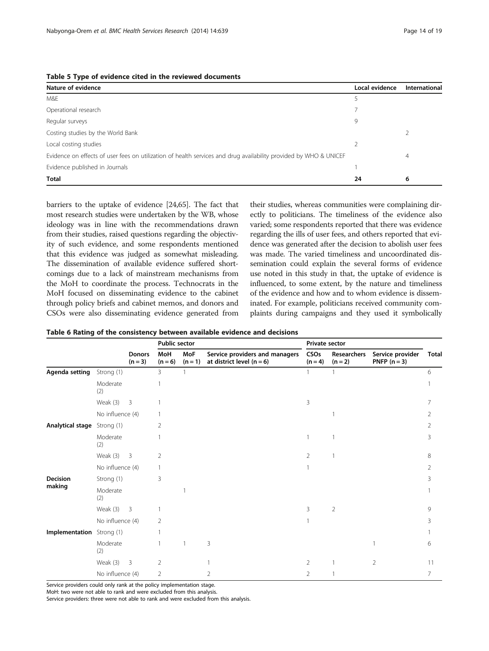<span id="page-13-0"></span>

| Nature of evidence                                                                                                | Local evidence | International |
|-------------------------------------------------------------------------------------------------------------------|----------------|---------------|
| M&E                                                                                                               |                |               |
| Operational research                                                                                              |                |               |
| Regular surveys                                                                                                   | 9              |               |
| Costing studies by the World Bank                                                                                 |                |               |
| Local costing studies                                                                                             |                |               |
| Evidence on effects of user fees on utilization of health services and drug availability provided by WHO & UNICEF |                | 4             |
| Evidence published in Journals                                                                                    |                |               |
| <b>Total</b>                                                                                                      | 24             | 6             |

barriers to the uptake of evidence [\[24](#page-17-0)[,65\]](#page-18-0). The fact that most research studies were undertaken by the WB, whose ideology was in line with the recommendations drawn from their studies, raised questions regarding the objectivity of such evidence, and some respondents mentioned that this evidence was judged as somewhat misleading. The dissemination of available evidence suffered shortcomings due to a lack of mainstream mechanisms from the MoH to coordinate the process. Technocrats in the MoH focused on disseminating evidence to the cabinet through policy briefs and cabinet memos, and donors and CSOs were also disseminating evidence generated from

their studies, whereas communities were complaining directly to politicians. The timeliness of the evidence also varied; some respondents reported that there was evidence regarding the ills of user fees, and others reported that evidence was generated after the decision to abolish user fees was made. The varied timeliness and uncoordinated dissemination could explain the several forms of evidence use noted in this study in that, the uptake of evidence is influenced, to some extent, by the nature and timeliness of the evidence and how and to whom evidence is disseminated. For example, politicians received community complaints during campaigns and they used it symbolically

Table 6 Rating of the consistency between available evidence and decisions

|                           |                  | <b>Donors</b><br>$(n = 3)$ | <b>Public sector</b>    |                  |                                                               | <b>Private sector</b> |                          |                                  |              |
|---------------------------|------------------|----------------------------|-------------------------|------------------|---------------------------------------------------------------|-----------------------|--------------------------|----------------------------------|--------------|
|                           |                  |                            | <b>MoH</b><br>$(n = 6)$ | MoF<br>$(n = 1)$ | Service providers and managers<br>at district level $(n = 6)$ | CSOs<br>$(n = 4)$     | Researchers<br>$(n = 2)$ | Service provider<br>PNFP $(n=3)$ | <b>Total</b> |
| Agenda setting            | Strong (1)       |                            | 3                       |                  |                                                               | 1                     | 1                        |                                  | 6            |
|                           | Moderate<br>(2)  |                            | 1                       |                  |                                                               |                       |                          |                                  |              |
|                           | Weak $(3)$       | 3                          |                         |                  |                                                               | 3                     |                          |                                  | 7            |
|                           | No influence (4) |                            |                         |                  |                                                               |                       | 1                        |                                  | 2            |
| Analytical stage          | Strong (1)       |                            | $\overline{2}$          |                  |                                                               |                       |                          |                                  | 2            |
|                           | Moderate<br>(2)  |                            |                         |                  |                                                               |                       | 1                        |                                  | 3            |
|                           | Weak $(3)$       | 3                          | $\overline{2}$          |                  |                                                               | 2                     |                          |                                  | 8            |
|                           | No influence (4) |                            | 1                       |                  |                                                               |                       |                          |                                  | 2            |
| <b>Decision</b>           | Strong (1)       |                            | 3                       |                  |                                                               |                       |                          |                                  | 3            |
| making                    | Moderate<br>(2)  |                            |                         |                  |                                                               |                       |                          |                                  |              |
|                           | Weak (3)         | 3                          | 1                       |                  |                                                               | 3                     | $\overline{2}$           |                                  | 9            |
|                           | No influence (4) |                            | 2                       |                  |                                                               |                       |                          |                                  | 3            |
| Implementation Strong (1) |                  |                            | 1                       |                  |                                                               |                       |                          |                                  |              |
|                           | Moderate<br>(2)  |                            | $\mathbf{1}$            |                  | 3                                                             |                       |                          |                                  | 6            |
|                           | Weak (3)         | 3                          | $\overline{2}$          |                  |                                                               | 2                     |                          | 2                                | 11           |
|                           | No influence (4) |                            | $\overline{2}$          |                  | 2                                                             | $\overline{2}$        | $\mathbf{1}$             |                                  | 7            |

Service providers could only rank at the policy implementation stage.

MoH: two were not able to rank and were excluded from this analysis.

Service providers: three were not able to rank and were excluded from this analysis.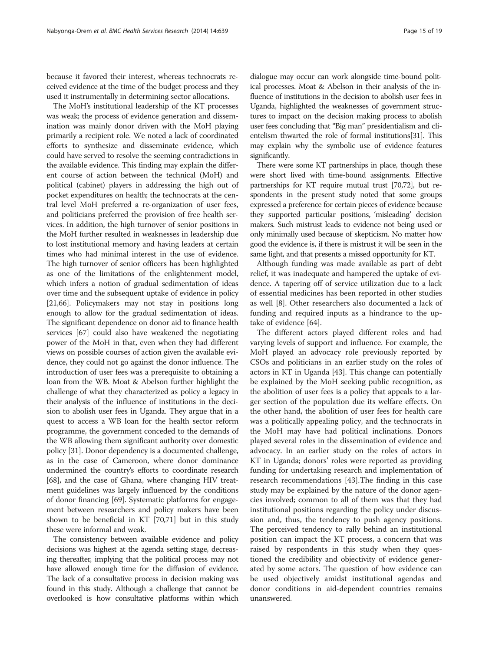because it favored their interest, whereas technocrats received evidence at the time of the budget process and they used it instrumentally in determining sector allocations.

The MoH's institutional leadership of the KT processes was weak; the process of evidence generation and dissemination was mainly donor driven with the MoH playing primarily a recipient role. We noted a lack of coordinated efforts to synthesize and disseminate evidence, which could have served to resolve the seeming contradictions in the available evidence. This finding may explain the different course of action between the technical (MoH) and political (cabinet) players in addressing the high out of pocket expenditures on health; the technocrats at the central level MoH preferred a re-organization of user fees, and politicians preferred the provision of free health services. In addition, the high turnover of senior positions in the MoH further resulted in weaknesses in leadership due to lost institutional memory and having leaders at certain times who had minimal interest in the use of evidence. The high turnover of senior officers has been highlighted as one of the limitations of the enlightenment model, which infers a notion of gradual sedimentation of ideas over time and the subsequent uptake of evidence in policy [[21](#page-17-0)[,66](#page-18-0)]. Policymakers may not stay in positions long enough to allow for the gradual sedimentation of ideas. The significant dependence on donor aid to finance health services [[67](#page-18-0)] could also have weakened the negotiating power of the MoH in that, even when they had different views on possible courses of action given the available evidence, they could not go against the donor influence. The introduction of user fees was a prerequisite to obtaining a loan from the WB. Moat & Abelson further highlight the challenge of what they characterized as policy a legacy in their analysis of the influence of institutions in the decision to abolish user fees in Uganda. They argue that in a quest to access a WB loan for the health sector reform programme, the government conceded to the demands of the WB allowing them significant authority over domestic policy [\[31\]](#page-18-0). Donor dependency is a documented challenge, as in the case of Cameroon, where donor dominance undermined the country's efforts to coordinate research [[68](#page-18-0)], and the case of Ghana, where changing HIV treatment guidelines was largely influenced by the conditions of donor financing [[69\]](#page-18-0). Systematic platforms for engagement between researchers and policy makers have been shown to be beneficial in KT [\[70,71](#page-18-0)] but in this study these were informal and weak.

The consistency between available evidence and policy decisions was highest at the agenda setting stage, decreasing thereafter, implying that the political process may not have allowed enough time for the diffusion of evidence. The lack of a consultative process in decision making was found in this study. Although a challenge that cannot be overlooked is how consultative platforms within which

dialogue may occur can work alongside time-bound political processes. Moat & Abelson in their analysis of the influence of institutions in the decision to abolish user fees in Uganda, highlighted the weaknesses of government structures to impact on the decision making process to abolish user fees concluding that "Big man" presidentialism and clientelism thwarted the role of formal institutions[[31](#page-18-0)]. This may explain why the symbolic use of evidence features significantly.

There were some KT partnerships in place, though these were short lived with time-bound assignments. Effective partnerships for KT require mutual trust [[70,72](#page-18-0)], but respondents in the present study noted that some groups expressed a preference for certain pieces of evidence because they supported particular positions, 'misleading' decision makers. Such mistrust leads to evidence not being used or only minimally used because of skepticism. No matter how good the evidence is, if there is mistrust it will be seen in the same light, and that presents a missed opportunity for KT.

Although funding was made available as part of debt relief, it was inadequate and hampered the uptake of evidence. A tapering off of service utilization due to a lack of essential medicines has been reported in other studies as well [\[8](#page-17-0)]. Other researchers also documented a lack of funding and required inputs as a hindrance to the uptake of evidence [[64\]](#page-18-0).

The different actors played different roles and had varying levels of support and influence. For example, the MoH played an advocacy role previously reported by CSOs and politicians in an earlier study on the roles of actors in KT in Uganda [[43](#page-18-0)]. This change can potentially be explained by the MoH seeking public recognition, as the abolition of user fees is a policy that appeals to a larger section of the population due its welfare effects. On the other hand, the abolition of user fees for health care was a politically appealing policy, and the technocrats in the MoH may have had political inclinations. Donors played several roles in the dissemination of evidence and advocacy. In an earlier study on the roles of actors in KT in Uganda; donors' roles were reported as providing funding for undertaking research and implementation of research recommendations [\[43](#page-18-0)].The finding in this case study may be explained by the nature of the donor agencies involved; common to all of them was that they had institutional positions regarding the policy under discussion and, thus, the tendency to push agency positions. The perceived tendency to rally behind an institutional position can impact the KT process, a concern that was raised by respondents in this study when they questioned the credibility and objectivity of evidence generated by some actors. The question of how evidence can be used objectively amidst institutional agendas and donor conditions in aid-dependent countries remains unanswered.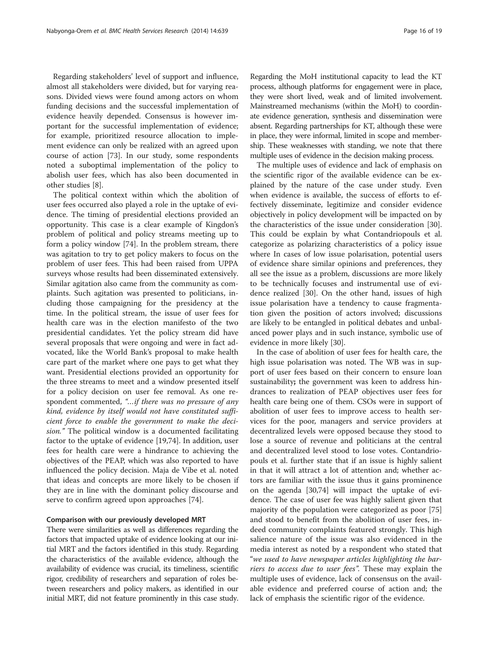Regarding stakeholders' level of support and influence, almost all stakeholders were divided, but for varying reasons. Divided views were found among actors on whom funding decisions and the successful implementation of evidence heavily depended. Consensus is however important for the successful implementation of evidence; for example, prioritized resource allocation to implement evidence can only be realized with an agreed upon course of action [[73\]](#page-18-0). In our study, some respondents noted a suboptimal implementation of the policy to abolish user fees, which has also been documented in other studies [[8\]](#page-17-0).

The political context within which the abolition of user fees occurred also played a role in the uptake of evidence. The timing of presidential elections provided an opportunity. This case is a clear example of Kingdon's problem of political and policy streams meeting up to form a policy window [[74\]](#page-18-0). In the problem stream, there was agitation to try to get policy makers to focus on the problem of user fees. This had been raised from UPPA surveys whose results had been disseminated extensively. Similar agitation also came from the community as complaints. Such agitation was presented to politicians, including those campaigning for the presidency at the time. In the political stream, the issue of user fees for health care was in the election manifesto of the two presidential candidates. Yet the policy stream did have several proposals that were ongoing and were in fact advocated, like the World Bank's proposal to make health care part of the market where one pays to get what they want. Presidential elections provided an opportunity for the three streams to meet and a window presented itself for a policy decision on user fee removal. As one respondent commented, "...if there was no pressure of any kind, evidence by itself would not have constituted sufficient force to enable the government to make the decision." The political window is a documented facilitating factor to the uptake of evidence [[19,](#page-17-0)[74\]](#page-18-0). In addition, user fees for health care were a hindrance to achieving the objectives of the PEAP, which was also reported to have influenced the policy decision. Maja de Vibe et al. noted that ideas and concepts are more likely to be chosen if they are in line with the dominant policy discourse and serve to confirm agreed upon approaches [[74\]](#page-18-0).

#### Comparison with our previously developed MRT

There were similarities as well as differences regarding the factors that impacted uptake of evidence looking at our initial MRT and the factors identified in this study. Regarding the characteristics of the available evidence, although the availability of evidence was crucial, its timeliness, scientific rigor, credibility of researchers and separation of roles between researchers and policy makers, as identified in our initial MRT, did not feature prominently in this case study. Regarding the MoH institutional capacity to lead the KT process, although platforms for engagement were in place, they were short lived, weak and of limited involvement. Mainstreamed mechanisms (within the MoH) to coordinate evidence generation, synthesis and dissemination were absent. Regarding partnerships for KT, although these were in place, they were informal, limited in scope and membership. These weaknesses with standing, we note that there multiple uses of evidence in the decision making process.

The multiple uses of evidence and lack of emphasis on the scientific rigor of the available evidence can be explained by the nature of the case under study. Even when evidence is available, the success of efforts to effectively disseminate, legitimize and consider evidence objectively in policy development will be impacted on by the characteristics of the issue under consideration [\[30](#page-18-0)]. This could be explain by what Contandriopouls et al. categorize as polarizing characteristics of a policy issue where In cases of low issue polarisation, potential users of evidence share similar opinions and preferences, they all see the issue as a problem, discussions are more likely to be technically focuses and instrumental use of evidence realized [\[30\]](#page-18-0). On the other hand, issues of high issue polarisation have a tendency to cause fragmentation given the position of actors involved; discussions are likely to be entangled in political debates and unbalanced power plays and in such instance, symbolic use of evidence in more likely [[30\]](#page-18-0).

In the case of abolition of user fees for health care, the high issue polarisation was noted. The WB was in support of user fees based on their concern to ensure loan sustainability; the government was keen to address hindrances to realization of PEAP objectives user fees for health care being one of them. CSOs were in support of abolition of user fees to improve access to health services for the poor, managers and service providers at decentralized levels were opposed because they stood to lose a source of revenue and politicians at the central and decentralized level stood to lose votes. Contandriopouls et al. further state that if an issue is highly salient in that it will attract a lot of attention and; whether actors are familiar with the issue thus it gains prominence on the agenda [[30,74\]](#page-18-0) will impact the uptake of evidence. The case of user fee was highly salient given that majority of the population were categorized as poor [[75](#page-18-0)] and stood to benefit from the abolition of user fees, indeed community complaints featured strongly. This high salience nature of the issue was also evidenced in the media interest as noted by a respondent who stated that "we used to have newspaper articles highlighting the barriers to access due to user fees". These may explain the multiple uses of evidence, lack of consensus on the available evidence and preferred course of action and; the lack of emphasis the scientific rigor of the evidence.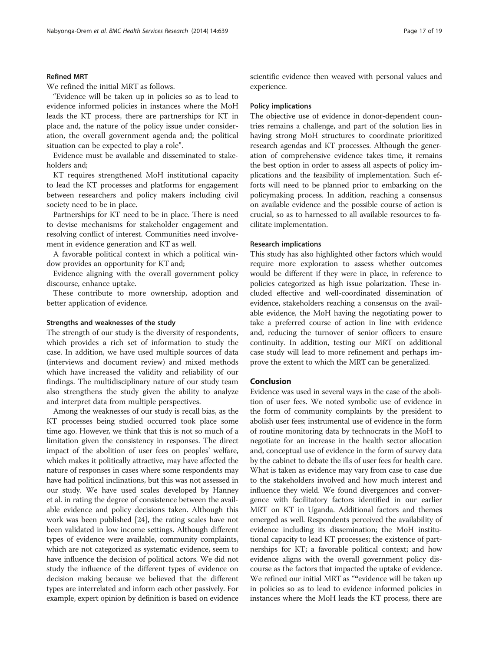## Refined MRT

We refined the initial MRT as follows.

"Evidence will be taken up in policies so as to lead to evidence informed policies in instances where the MoH leads the KT process, there are partnerships for KT in place and, the nature of the policy issue under consideration, the overall government agenda and; the political situation can be expected to play a role".

Evidence must be available and disseminated to stakeholders and;

KT requires strengthened MoH institutional capacity to lead the KT processes and platforms for engagement between researchers and policy makers including civil society need to be in place.

Partnerships for KT need to be in place. There is need to devise mechanisms for stakeholder engagement and resolving conflict of interest. Communities need involvement in evidence generation and KT as well.

A favorable political context in which a political window provides an opportunity for KT and;

Evidence aligning with the overall government policy discourse, enhance uptake.

These contribute to more ownership, adoption and better application of evidence.

#### Strengths and weaknesses of the study

The strength of our study is the diversity of respondents, which provides a rich set of information to study the case. In addition, we have used multiple sources of data (interviews and document review) and mixed methods which have increased the validity and reliability of our findings. The multidisciplinary nature of our study team also strengthens the study given the ability to analyze and interpret data from multiple perspectives.

Among the weaknesses of our study is recall bias, as the KT processes being studied occurred took place some time ago. However, we think that this is not so much of a limitation given the consistency in responses. The direct impact of the abolition of user fees on peoples' welfare, which makes it politically attractive, may have affected the nature of responses in cases where some respondents may have had political inclinations, but this was not assessed in our study. We have used scales developed by Hanney et al. in rating the degree of consistence between the available evidence and policy decisions taken. Although this work was been published [\[24\]](#page-17-0), the rating scales have not been validated in low income settings. Although different types of evidence were available, community complaints, which are not categorized as systematic evidence, seem to have influence the decision of political actors. We did not study the influence of the different types of evidence on decision making because we believed that the different types are interrelated and inform each other passively. For example, expert opinion by definition is based on evidence scientific evidence then weaved with personal values and experience.

#### Policy implications

The objective use of evidence in donor-dependent countries remains a challenge, and part of the solution lies in having strong MoH structures to coordinate prioritized research agendas and KT processes. Although the generation of comprehensive evidence takes time, it remains the best option in order to assess all aspects of policy implications and the feasibility of implementation. Such efforts will need to be planned prior to embarking on the policymaking process. In addition, reaching a consensus on available evidence and the possible course of action is crucial, so as to harnessed to all available resources to facilitate implementation.

#### Research implications

This study has also highlighted other factors which would require more exploration to assess whether outcomes would be different if they were in place, in reference to policies categorized as high issue polarization. These included effective and well-coordinated dissemination of evidence, stakeholders reaching a consensus on the available evidence, the MoH having the negotiating power to take a preferred course of action in line with evidence and, reducing the turnover of senior officers to ensure continuity. In addition, testing our MRT on additional case study will lead to more refinement and perhaps improve the extent to which the MRT can be generalized.

# Conclusion

Evidence was used in several ways in the case of the abolition of user fees. We noted symbolic use of evidence in the form of community complaints by the president to abolish user fees; instrumental use of evidence in the form of routine monitoring data by technocrats in the MoH to negotiate for an increase in the health sector allocation and, conceptual use of evidence in the form of survey data by the cabinet to debate the ills of user fees for health care. What is taken as evidence may vary from case to case due to the stakeholders involved and how much interest and influence they wield. We found divergences and convergence with facilitatory factors identified in our earlier MRT on KT in Uganda. Additional factors and themes emerged as well. Respondents perceived the availability of evidence including its dissemination; the MoH institutional capacity to lead KT processes; the existence of partnerships for KT; a favorable political context; and how evidence aligns with the overall government policy discourse as the factors that impacted the uptake of evidence. We refined our initial MRT as ""evidence will be taken up in policies so as to lead to evidence informed policies in instances where the MoH leads the KT process, there are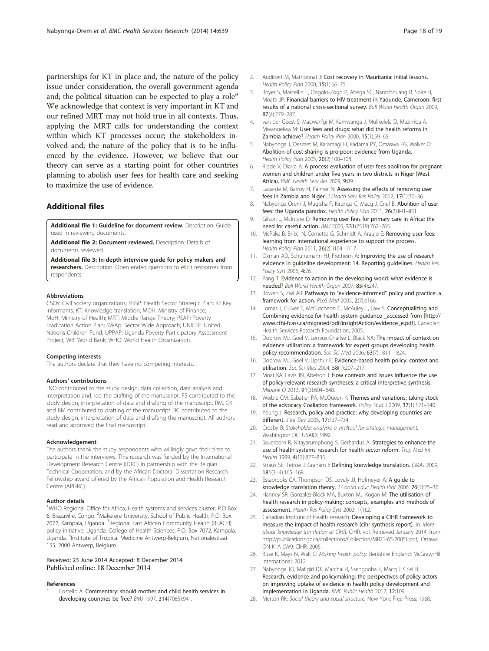<span id="page-17-0"></span>partnerships for KT in place and, the nature of the policy issue under consideration, the overall government agenda and; the political situation can be expected to play a role" We acknowledge that context is very important in KT and our refined MRT may not hold true in all contexts. Thus, applying the MRT calls for understanding the context within which KT processes occur; the stakeholders involved and; the nature of the policy that is to be influenced by the evidence. However, we believe that our theory can serve as a starting point for other countries planning to abolish user fees for health care and seeking to maximize the use of evidence.

# Additional files

[Additional file 1:](http://www.biomedcentral.com/content/supplementary/s12913-014-0639-5-s1.doc) Guideline for document review. Description: Guide used in reviewing documents.

[Additional file 2:](http://www.biomedcentral.com/content/supplementary/s12913-014-0639-5-s2.doc) Document reviewed. Description: Details of documents reviewed.

[Additional file 3:](http://www.biomedcentral.com/content/supplementary/s12913-014-0639-5-s3.doc) In-depth interview guide for policy makers and researchers. Description: Open ended questions to elicit responses from respondents.

#### Abbreviations

CSOs: Civil society organizations; HSSP: Health Sector Strategic Plan; KI: Key informants; KT: Knowledge translation; MOH: Ministry of Finance; MoH: Ministry of Health; MRT: Middle Range Theory; PEAP: Poverty Eradication Action Plan; SWAp: Sector Wide Approach; UNICEF: United Nations Children Fund; UPPAP: Uganda Poverty Participatory Assessment Project; WB: World Bank; WHO: World Health Organization.

#### Competing interests

The authors declare that they have no competing interests.

#### Authors' contributions

JNO contributed to the study design, data collection, data analysis and interpretation and, led the drafting of the manuscript. FS contributed to the study design, interpretation of data and drafting of the manuscript. RM, CK and BM contributed to drafting of the manuscript. BC contributed to the study design, interpretation of data and drafting the manuscript. All authors read and approved the final manuscript.

#### Acknowledgement

The authors thank the study respondents who willingly gave their time to participate in the interviews. This research was funded by the International Development Research Centre (IDRC) in partnership with the Belgian Technical Cooperation, and by the African Doctoral Dissertation Research Fellowship award offered by the African Population and Health Research Centre (APHRC).

#### Author details

<sup>1</sup>WHO Regional Office for Africa, Health systems and services cluster, P.O Box 6, Brazaville, Congo. <sup>2</sup>Makerere University, School of Public Health, P.O. Box 7072, Kampala, Uganda. <sup>3</sup>Regional East African Community Health (REACH) policy initiative, Uganda, College of Health Sciences, P.O. Box 7072, Kampala, Uganda. <sup>4</sup> Institute of Tropical Medicine Antwerp-Belgium, Nationalestraat 155, 2000 Antwerp, Belgium.

#### Received: 23 June 2014 Accepted: 8 December 2014 Published online: 18 December 2014

#### References

1. Costello A: Commentary: should mother and child health services in developing countries be free? BMJ 1997, 314(7085):941.

- 2. Audibert M, Mathonnat J: Cost recovery in Mauritania: initial lessons. Health Policy Plan 2000, 15(1):66–75.
- 3. Boyer S, Marcellin F, Ongolo-Zogo P, Abega SC, Nantchouang R, Spire B, Moatti JP: Financial barriers to HIV treatment in Yaounde, Cameroon: first results of a national cross-sectional survey. Bull World Health Organ 2009, 87(4):279–287.
- 4. van der Geest S, Macwan'gi M, Kamwanga J, Mulikelela D, Mazimba A, Mwangelwa M: User fees and drugs: what did the health reforms in Zambia achieve? Health Policy Plan 2000, 15(1):59–65.
- 5. Nabyonga J, Desmet M, Karamagi H, Kadama PY, Omaswa FG, Walker O: Abolition of cost-sharing is pro-poor: evidence from Uganda. Health Policy Plan 2005, 20(2):100–108.
- 6. Ridde V, Diarra A: A process evaluation of user fees abolition for pregnant women and children under five years in two districts in Niger (West Africa). BMC Health Serv Res 2009, 9:89.
- 7. Lagarde M, Barroy H, Palmer N: Assessing the effects of removing user fees in Zambia and Niger. J Health Serv Res Policy 2012, 17(1):30-36.
- 8. Nabyonga Orem J, Mugisha F, Kirunga C, Macq J, Criel B: Abolition of user fees: the Uganda paradox. Health Policy Plan 2011, 26(2):ii41-ii51.
- 9. Gilson L, McIntyre D: Removing user fees for primary care in Africa: the need for careful action. BMJ 2005, 331(7519):762–765.
- 10. McPake B, Brikci N, Cometto G, Schmidt A, Araujo E: Removing user fees: learning from international experience to support the process. Health Policy Plan 2011, 26(2):ii104-ii117.
- 11. Oxman AD, Schunemann HJ, Fretheim A: Improving the use of research evidence in guideline development: 14. Reporting guidelines. Health Res Policy Syst 2006, 4:26.
- 12. Pang T: Evidence to action in the developing world: what evidence is needed? Bull World Health Organ 2007, 85(4):247.
- 13. Bowen S, Zwi AB: Pathways to "evidence-informed" policy and practice: a framework for action. PLoS Med 2005, 2(7):e166.
- 14. Lomas J, Culver T, McCutcheon C, McAuley L, Law S: Conceptualizing and Combining evidence for health system guidance \_accessed from [\[http://](http://www.cfhi-fcass.ca/migrated/pdf/insightAction/evidence_e.pdf) [www.cfhi-fcass.ca/migrated/pdf/insightAction/evidence\\_e.pdf\]](http://www.cfhi-fcass.ca/migrated/pdf/insightAction/evidence_e.pdf). Canadian Health Services Research Foundation; 2005.
- 15. Dobrow MJ, Goel V, Lemiux-Charlse L, Black NA: The impact of context on evidence utilisation: a framework for expert groups developing health policy recommendation. Soc Sci Med 2006, 63(7):1811-1824.
- 16. Dobrow MJ, Goel V, Upshur E: Evidence-based health policy: context and utilisation. Soc Sci Med 2004, 58(1):207–217.
- 17. Moat KA, Lavis JN, Abelson J: How contexts and issues influence the use of policy-relevant research syntheses: a critical interpretive synthesis. Milbank Q 2013, 91(3):604–648.
- 18. Weible CM, Sabatier PA, McQueen K: Themes and variations: taking stock of the advocacy Coaliation framework. Policy Stud J 2009, 37(1):121–140.
- 19. Young J: Research, policy and practice: why developing countries are different. J Int Dev 2005, 17:727–734.
- 20. Crosby B: Stakeholder analysis: a vitaltool for strategic management. Washington DC: USAID; 1992.
- 21. Sauerborn R, Nitayarumphong S, Gerhardus A: Strategies to enhance the use of health systems research for health sector reform. Trop Med Int Health 1999, 4(12):827–835.
- 22. Straus SE, Tetroe J, Graham I: Defining knowledge translation. CMAJ 2009, 181(3–4):165–168.
- 23. Estabrooks CA, Thompson DS, Lovely JJ, Hofmeyer A: A quide to knowledge translation theory. J Contin Educ Health Prof 2006, 26(1):25-36.
- 24. Hanney SR, Gonzalez-Block MA, Buxton MJ, Kogan M: The utilisation of health research in policy-making: concepts, examples and methods of assessment. Health Res Policy Syst 2003, 1(1):2.
- 25. Canadian Institute of Health research: Developing a CIHR framework to measure the impact of health research (cihr synthesis report). In: More about knowledge translation at CIHR. CIHR, vol. Retrieved January 2014, from <http://publications.gc.ca/collections/Collection/MR21-65-2005E.pdf>,. Ottawa ON K1A 0W9: CIHR; 2005.
- 26. Buse K, Mays N, Walt G: Making health policy. Berkshire England: McGraw-Hill International; 2012.
- 27. Nabyonga JO, Mafigiri DK, Marchal B, Ssengooba F, Macq J, Criel B: Research, evidence and policymaking: the perspectives of policy actors on improving uptake of evidence in health policy development and implementation in Uganda. BMC Public Health 2012, 12:109.
- 28. Merton RK: Social theory and social structure. New York: Free Press; 1968.